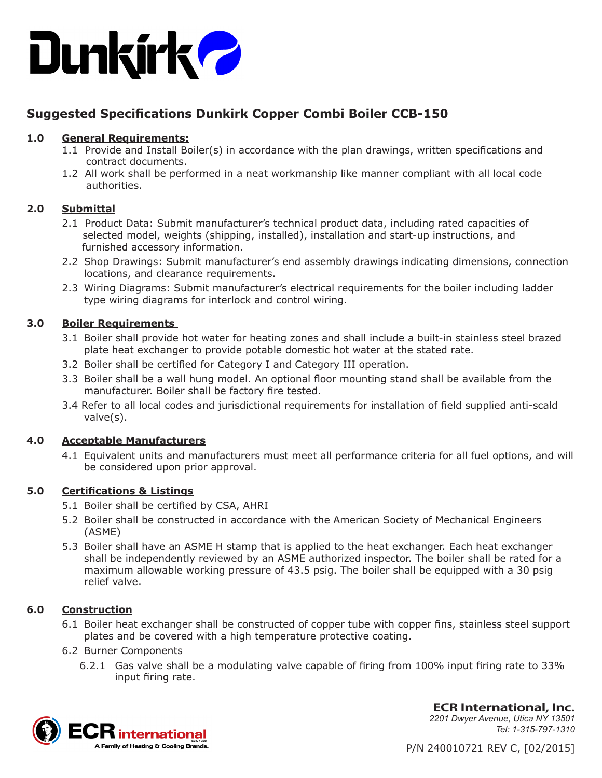

# **Suggested Specifications Dunkirk Copper Combi Boiler CCB-150**

## **1.0 General Requirements:**

- 1.1 Provide and Install Boiler(s) in accordance with the plan drawings, written specifications and contract documents.
- 1.2 All work shall be performed in a neat workmanship like manner compliant with all local code authorities.

# **2.0 Submittal**

- 2.1 Product Data: Submit manufacturer's technical product data, including rated capacities of selected model, weights (shipping, installed), installation and start-up instructions, and furnished accessory information.
- 2.2 Shop Drawings: Submit manufacturer's end assembly drawings indicating dimensions, connection locations, and clearance requirements.
- 2.3 Wiring Diagrams: Submit manufacturer's electrical requirements for the boiler including ladder type wiring diagrams for interlock and control wiring.

# **3.0 Boiler Requirements**

- 3.1 Boiler shall provide hot water for heating zones and shall include a built-in stainless steel brazed plate heat exchanger to provide potable domestic hot water at the stated rate.
- 3.2 Boiler shall be certified for Category I and Category III operation.
- 3.3 Boiler shall be a wall hung model. An optional floor mounting stand shall be available from the manufacturer. Boiler shall be factory fire tested.
- 3.4 Refer to all local codes and jurisdictional requirements for installation of field supplied anti-scald valve(s).

## **4.0 Acceptable Manufacturers**

4.1 Equivalent units and manufacturers must meet all performance criteria for all fuel options, and will be considered upon prior approval.

## **5.0 Certifications & Listings**

- 5.1 Boiler shall be certified by CSA, AHRI
- 5.2 Boiler shall be constructed in accordance with the American Society of Mechanical Engineers (ASME)
- 5.3 Boiler shall have an ASME H stamp that is applied to the heat exchanger. Each heat exchanger shall be independently reviewed by an ASME authorized inspector. The boiler shall be rated for a maximum allowable working pressure of 43.5 psig. The boiler shall be equipped with a 30 psig relief valve.

## **6.0 Construction**

6.1 Boiler heat exchanger shall be constructed of copper tube with copper fins, stainless steel support plates and be covered with a high temperature protective coating.

## 6.2 Burner Components

6.2.1 Gas valve shall be a modulating valve capable of firing from 100% input firing rate to 33% input firing rate.



**ECR International, Inc.** *2201 Dwyer Avenue, Utica NY 13501 Tel: 1-315-797-1310*

P/N 240010721 REV C, [02/2015]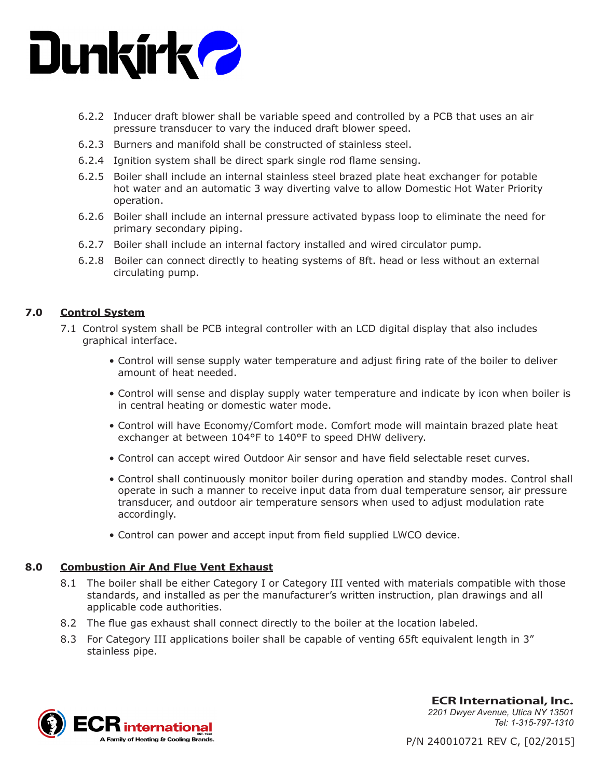

- 6.2.2 Inducer draft blower shall be variable speed and controlled by a PCB that uses an air pressure transducer to vary the induced draft blower speed.
- 6.2.3 Burners and manifold shall be constructed of stainless steel.
- 6.2.4 Ignition system shall be direct spark single rod flame sensing.
- 6.2.5 Boiler shall include an internal stainless steel brazed plate heat exchanger for potable hot water and an automatic 3 way diverting valve to allow Domestic Hot Water Priority operation.
- 6.2.6 Boiler shall include an internal pressure activated bypass loop to eliminate the need for primary secondary piping.
- 6.2.7 Boiler shall include an internal factory installed and wired circulator pump.
- 6.2.8 Boiler can connect directly to heating systems of 8ft. head or less without an external circulating pump.

#### **7.0 Control System**

- 7.1 Control system shall be PCB integral controller with an LCD digital display that also includes graphical interface.
	- Control will sense supply water temperature and adjust firing rate of the boiler to deliver amount of heat needed.
	- Control will sense and display supply water temperature and indicate by icon when boiler is in central heating or domestic water mode.
	- Control will have Economy/Comfort mode. Comfort mode will maintain brazed plate heat exchanger at between 104°F to 140°F to speed DHW delivery.
	- Control can accept wired Outdoor Air sensor and have field selectable reset curves.
	- Control shall continuously monitor boiler during operation and standby modes. Control shall operate in such a manner to receive input data from dual temperature sensor, air pressure transducer, and outdoor air temperature sensors when used to adjust modulation rate accordingly.
	- Control can power and accept input from field supplied LWCO device.

## **8.0 Combustion Air And Flue Vent Exhaust**

- 8.1 The boiler shall be either Category I or Category III vented with materials compatible with those standards, and installed as per the manufacturer's written instruction, plan drawings and all applicable code authorities.
- 8.2 The flue gas exhaust shall connect directly to the boiler at the location labeled.
- 8.3 For Category III applications boiler shall be capable of venting 65ft equivalent length in 3" stainless pipe.



**ECR International, Inc.** *2201 Dwyer Avenue, Utica NY 13501 Tel: 1-315-797-1310*